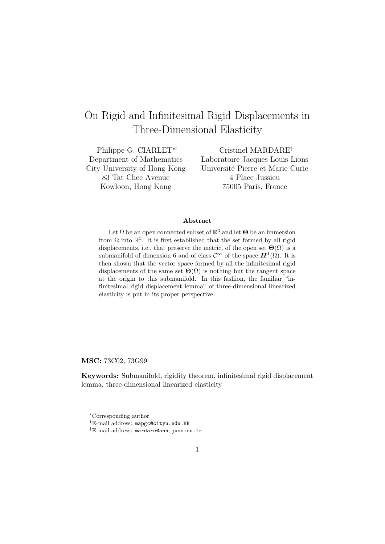# On Rigid and Infinitesimal Rigid Displacements in Three-Dimensional Elasticity

Philippe G. CIARLET∗† Department of Mathematics City University of Hong Kong 83 Tat Chee Avenue Kowloon, Hong Kong

Cristinel MARDARE‡ Laboratoire Jacques-Louis Lions Universit´e Pierre et Marie Curie 4 Place Jussieu 75005 Paris, France

#### Abstract

Let  $\Omega$  be an open connected subset of  $\mathbb{R}^3$  and let  $\Theta$  be an immersion from  $\Omega$  into  $\mathbb{R}^3$ . It is first established that the set formed by all rigid displacements, i.e., that preserve the metric, of the open set  $\Theta(\Omega)$  is a submanifold of dimension 6 and of class  $\mathcal{C}^{\infty}$  of the space  $\mathbf{H}^{1}(\Omega)$ . It is then shown that the vector space formed by all the infinitesimal rigid displacements of the same set  $\Theta(\Omega)$  is nothing but the tangent space at the origin to this submanifold. In this fashion, the familiar "infinitesimal rigid displacement lemma" of three-dimensional linearized elasticity is put in its proper perspective.

MSC: 73C02, 73G99

Keywords: Submanifold, rigidity theorem, infinitesimal rigid displacement lemma, three-dimensional linearized elasticity

<sup>∗</sup>Corresponding author

<sup>†</sup>E-mail address: mapgc@cityu.edu.hk

<sup>‡</sup>E-mail address: mardare@ann.jussieu.fr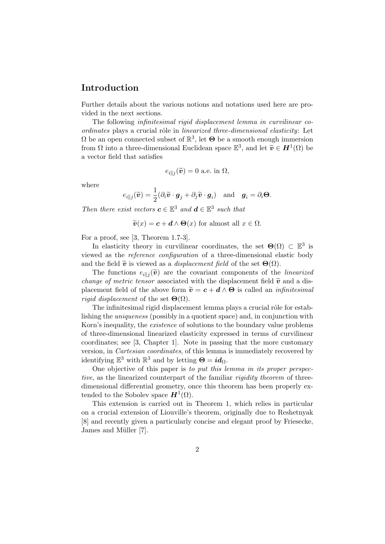### Introduction

Further details about the various notions and notations used here are provided in the next sections.

The following infinitesimal rigid displacement lemma in curvilinear coordinates plays a crucial rôle in linearized three-dimensional elasticity: Let  $\Omega$  be an open connected subset of  $\mathbb{R}^3$ , let  $\Theta$  be a smooth enough immersion from  $\Omega$  into a three-dimensional Euclidean space  $\mathbb{E}^3$ , and let  $\widetilde{\mathbf{v}} \in H^1(\Omega)$  be a vector field that satisfies

$$
e_{i\parallel j}(\widetilde{\boldsymbol{v}})=0
$$
 a.e. in  $\Omega$ ,

where

$$
e_{i\parallel j}(\widetilde{\boldsymbol{v}}) = \frac{1}{2}(\partial_i \widetilde{\boldsymbol{v}} \cdot \boldsymbol{g}_j + \partial_j \widetilde{\boldsymbol{v}} \cdot \boldsymbol{g}_i) \quad \text{and} \quad \boldsymbol{g}_i = \partial_i \boldsymbol{\Theta}.
$$

Then there exist vectors  $c \in \mathbb{E}^3$  and  $d \in \mathbb{E}^3$  such that

$$
\widetilde{\boldsymbol{v}}(x) = \boldsymbol{c} + \boldsymbol{d} \wedge \boldsymbol{\Theta}(x)
$$
 for almost all  $x \in \Omega$ .

For a proof, see [3, Theorem 1.7-3].

In elasticity theory in curvilinear coordinates, the set  $\Theta(\Omega) \subset \mathbb{E}^3$  is viewed as the reference configuration of a three-dimensional elastic body and the field  $\tilde{\mathbf{v}}$  is viewed as a *displacement field* of the set  $\Theta(\Omega)$ .

The functions  $e_{i||j}(\tilde{v})$  are the covariant components of the *linearized change of metric tensor* associated with the displacement field  $\tilde{v}$  and a displacement field of the above form  $\tilde{v} = c + d \wedge \Theta$  is called an *infinitesimal rigid displacement* of the set  $\Theta(\Omega)$ .

The infinitesimal rigid displacement lemma plays a crucial rôle for establishing the uniqueness (possibly in a quotient space) and, in conjunction with Korn's inequality, the existence of solutions to the boundary value problems of three-dimensional linearized elasticity expressed in terms of curvilinear coordinates; see [3, Chapter 1]. Note in passing that the more customary version, in Cartesian coordinates, of this lemma is immediately recovered by identifying  $\mathbb{E}^3$  with  $\mathbb{R}^3$  and by letting  $\mathbf{\Theta} = id_{\Omega}$ .

One objective of this paper is to put this lemma in its proper perspective, as the linearized counterpart of the familiar *rigidity theorem* of threedimensional differential geometry, once this theorem has been properly extended to the Sobolev space  $H^1(\Omega)$ .

This extension is carried out in Theorem 1, which relies in particular on a crucial extension of Liouville's theorem, originally due to Reshetnyak [8] and recently given a particularly concise and elegant proof by Friesecke, James and Müller [7].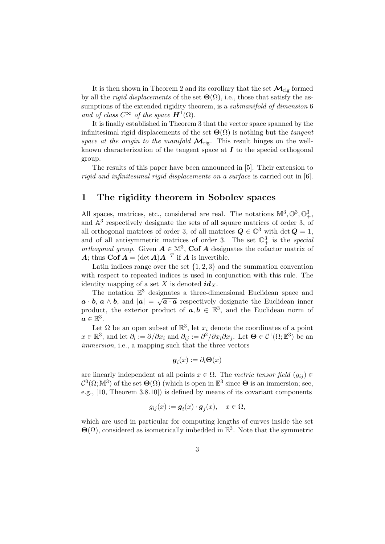It is then shown in Theorem 2 and its corollary that the set  $\mathcal{M}_{\text{rig}}$  formed by all the *rigid displacements* of the set  $\Theta(\Omega)$ , i.e., those that satisfy the assumptions of the extended rigidity theorem, is a *submanifold of dimension* 6 and of class  $C^{\infty}$  of the space  $\mathbf{H}^{1}(\Omega)$ .

It is finally established in Theorem 3 that the vector space spanned by the infinitesimal rigid displacements of the set  $\Theta(\Omega)$  is nothing but the tangent space at the origin to the manifold  $\mathcal{M}_{\text{rig}}$ . This result hinges on the wellknown characterization of the tangent space at  $I$  to the special orthogonal group.

The results of this paper have been announced in [5]. Their extension to rigid and infinitesimal rigid displacements on a surface is carried out in [6].

#### 1 The rigidity theorem in Sobolev spaces

All spaces, matrices, etc., considered are real. The notations  $\mathbb{M}^3, \mathbb{O}^3, \mathbb{O}^3_+$ , and  $\mathbb{A}^3$  respectively designate the sets of all square matrices of order 3, of all orthogonal matrices of order 3, of all matrices  $\mathbf{Q} \in \mathbb{O}^3$  with det  $\mathbf{Q} = 1$ , and of all antisymmetric matrices of order 3. The set  $\mathbb{O}^3_+$  is the special orthogonal group. Given  $A \in \mathbb{M}^3$ , Cof A designates the cofactor matrix of A; thus Cof  $A = (\det A)A^{-T}$  if A is invertible.

Latin indices range over the set  $\{1, 2, 3\}$  and the summation convention with respect to repeated indices is used in conjunction with this rule. The identity mapping of a set X is denoted  $id_X$ .

The notation  $\mathbb{E}^3$  designates a three-dimensional Euclidean space and  $a \cdot b$ ,  $a \wedge b$ , and  $|a| = \sqrt{a \cdot a}$  respectively designate the Euclidean inner product, the exterior product of  $a, b \in \mathbb{E}^{3}$ , and the Euclidean norm of  $\boldsymbol{a}\in\mathbb{E}^3.$ 

Let  $\Omega$  be an open subset of  $\mathbb{R}^3$ , let  $x_i$  denote the coordinates of a point  $x \in \mathbb{R}^3$ , and let  $\partial_i := \partial/\partial x_i$  and  $\partial_{ij} := \partial^2/\partial x_i \partial x_j$ . Let  $\Theta \in \mathcal{C}^1(\Omega; \mathbb{E}^3)$  be an immersion, i.e., a mapping such that the three vectors

$$
\boldsymbol{g}_i(x):=\partial_i \boldsymbol{\Theta}(x)
$$

are linearly independent at all points  $x \in \Omega$ . The metric tensor field  $(g_{ij}) \in$  $\mathcal{C}^0(\Omega;\mathbb{M}^3)$  of the set  $\Theta(\Omega)$  (which is open in  $\mathbb{E}^3$  since  $\Theta$  is an immersion; see, e.g., [10, Theorem 3.8.10]) is defined by means of its covariant components

$$
g_{ij}(x) := \mathbf{g}_i(x) \cdot \mathbf{g}_j(x), \quad x \in \Omega,
$$

which are used in particular for computing lengths of curves inside the set  $\Theta(\Omega)$ , considered as isometrically imbedded in  $\mathbb{E}^3$ . Note that the symmetric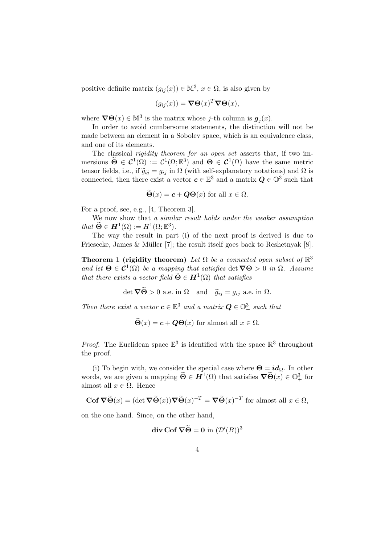positive definite matrix  $(g_{ij}(x)) \in \mathbb{M}^3$ ,  $x \in \Omega$ , is also given by

$$
(g_{ij}(x)) = \nabla \Theta(x)^T \nabla \Theta(x),
$$

where  $\nabla \Theta(x) \in \mathbb{M}^3$  is the matrix whose *j*-th column is  $g_j(x)$ .

In order to avoid cumbersome statements, the distinction will not be made between an element in a Sobolev space, which is an equivalence class, and one of its elements.

The classical *rigidity theorem for an open set* asserts that, if two immersions  $\widetilde{\Theta} \in C^1(\Omega) := C^1(\Omega; \mathbb{E}^3)$  and  $\Theta \in C^1(\Omega)$  have the same metric tensor fields, i.e., if  $\tilde{g}_{ij} = g_{ij}$  in  $\Omega$  (with self-explanatory notations) and  $\Omega$  is connected, then there exist a vector  $c \in \mathbb{E}^{3}$  and a matrix  $Q \in \mathbb{O}^{3}$  such that

$$
\Theta(x) = \mathbf{c} + \mathbf{Q}\Theta(x) \text{ for all } x \in \Omega.
$$

For a proof, see, e.g., [4, Theorem 3].

We now show that a similar result holds under the weaker assumption that  $\widetilde{\Theta} \in H^1(\Omega) := H^1(\Omega; \mathbb{E}^3).$ 

The way the result in part (i) of the next proof is derived is due to Friesecke, James & Müller [7]; the result itself goes back to Reshetnyak [8].

Theorem 1 (rigidity theorem) Let  $\Omega$  be a connected open subset of  $\mathbb{R}^3$ and let  $\Theta \in \mathcal{C}^1(\Omega)$  be a mapping that satisfies det  $\nabla \Theta > 0$  in  $\Omega$ . Assume that there exists a vector field  $\widetilde{\Theta} \in H^1(\Omega)$  that satisfies

det  $\nabla \widetilde{\Theta} > 0$  a.e. in  $\Omega$  and  $\widetilde{g}_{ij} = g_{ij}$  a.e. in  $\Omega$ .

Then there exist a vector  $c \in \mathbb{E}^3$  and a matrix  $Q \in \mathbb{O}^3_+$  such that

 $\widetilde{\Theta}(x) = c + Q\Theta(x)$  for almost all  $x \in \Omega$ .

*Proof.* The Euclidean space  $\mathbb{E}^3$  is identified with the space  $\mathbb{R}^3$  throughout the proof.

(i) To begin with, we consider the special case where  $\Theta = id_{\Omega}$ . In other words, we are given a mapping  $\widetilde{\Theta} \in H^1(\Omega)$  that satisfies  $\nabla \widetilde{\Theta}(x) \in \mathbb{O}^3_+$  for almost all  $x \in \Omega$ . Hence

$$
\mathbf{Cof}\,\nabla\widetilde{\Theta}(x) = (\det \nabla \widetilde{\Theta}(x))\nabla \widetilde{\Theta}(x)^{-T} = \nabla \widetilde{\Theta}(x)^{-T} \text{ for almost all } x \in \Omega,
$$

on the one hand. Since, on the other hand,

$$
\text{div }\mathbf{Cof }\nabla \widetilde{\Theta}=\mathbf{0} \text{ in } (\mathcal{D}'(B))^3
$$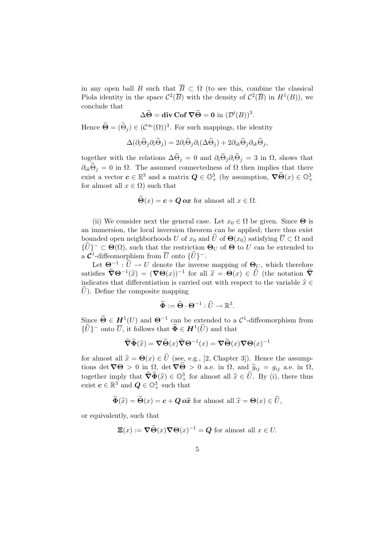in any open ball B such that  $\overline{B} \subset \Omega$  (to see this, combine the classical Piola identity in the space  $\mathcal{C}^2(\overline{B})$  with the density of  $\mathcal{C}^2(\overline{B})$  in  $H^1(B)$ ), we conclude that

$$
\Delta \widetilde{\Theta} = \text{div } \text{Cof } \nabla \widetilde{\Theta} = 0 \text{ in } (\mathcal{D}'(B))^3.
$$

Hence  $\widetilde{\Theta} = (\widetilde{\Theta}_j) \in (\mathcal{C}^{\infty}(\Omega))^3$ . For such mappings, the identity

$$
\Delta(\partial_i \widetilde{\Theta}_j \partial_i \widetilde{\Theta}_j) = 2 \partial_i \widetilde{\Theta}_j \partial_i (\Delta \widetilde{\Theta}_j) + 2 \partial_{ik} \widetilde{\Theta}_j \partial_{ik} \widetilde{\Theta}_j,
$$

together with the relations  $\Delta \widetilde{\Theta}_j = 0$  and  $\partial_i \widetilde{\Theta}_j \partial_i \widetilde{\Theta}_j = 3$  in  $\Omega$ , shows that  $\partial_{ik}\tilde{\Theta}_i = 0$  in  $\Omega$ . The assumed connectedness of  $\Omega$  then implies that there exist a vector  $c \in \mathbb{E}^3$  and a matrix  $Q \in \mathbb{O}^3_+$  (by assumption,  $\nabla \widetilde{\Theta}(x) \in \mathbb{O}^3_+$ for almost all  $x \in \Omega$ ) such that

$$
\tilde{\Theta}(x) = c + Q \, \text{ox} \text{ for almost all } x \in \Omega.
$$

(ii) We consider next the general case. Let  $x_0 \in \Omega$  be given. Since  $\Theta$  is an immersion, the local inversion theorem can be applied; there thus exist bounded open neighborhoods U of  $x_0$  and  $\hat{U}$  of  $\Theta(x_0)$  satisfying  $\overline{U} \subset \Omega$  and  ${\{\hat{U}\}}^{-} \subset \Theta(\Omega)$ , such that the restriction  $\Theta_U$  of  $\Theta$  to U can be extended to a  $\mathcal{C}^1$ -diffeomorphism from  $\overline{U}$  onto  $\{\widehat{U}\}^-$ .

Let  $\Theta^{-1} : \widehat{U} \to U$  denote the inverse mapping of  $\Theta_U$ , which therefore satisfies  $\widehat{\nabla} \Theta^{-1}(\widehat{x}) = (\nabla \Theta(x))^{-1}$  for all  $\widehat{x} = \Theta(x) \in \widehat{U}$  (the notation  $\widehat{\nabla}$ <br>indicates that differentiation is comised out with negaset to the variable  $\widehat{x} \in \widehat{\nabla}$ indicates that differentiation is carried out with respect to the variable  $\hat{x} \in$  $U$ ). Define the composite mapping

$$
\widehat{\Phi} := \widetilde{\Theta} \cdot \Theta^{-1} : \widehat{U} \to \mathbb{R}^3.
$$

Since  $\widetilde{\Theta} \in H^1(U)$  and  $\Theta^{-1}$  can be extended to a  $\mathcal{C}^1$ -diffeomorphism from  $\{\widehat{U}\}$ <sup>-</sup> onto  $\overline{U}$ , it follows that  $\widehat{\Phi} \in H^1(\widehat{U})$  and that

$$
\widehat{\nabla}\widehat{\Phi}(\widehat{x}) = \nabla\widetilde{\Theta}(x)\widehat{\nabla}\Theta^{-1}(x) = \nabla\widetilde{\Theta}(x)\nabla\Theta(x)^{-1}
$$

for almost all  $\hat{x} = \Theta(x) \in \hat{U}$  (see, e.g., [2, Chapter 3]). Hence the assumptions det  $\nabla\Theta > 0$  in  $\Omega$ , det  $\nabla\widetilde{\Theta} > 0$  a.e. in  $\Omega$ , and  $\widetilde{g}_{ij} = g_{ij}$  a.e. in  $\Omega$ , together imply that  $\widehat{\nabla}\widehat{\Phi}(\widehat{x}) \in \mathbb{O}^3_+$  for almost all  $\widehat{x} \in \widehat{U}$ . By (i), there thus exist  $\widehat{a} \in \mathbb{P}^3$  and  $\widehat{A} \in \mathbb{O}^3$  such that exist  $c \in \mathbb{R}^3$  and  $Q \in \mathbb{O}^3_+$  such that

$$
\widehat{\Phi}(\widehat{x}) = \widehat{\Theta}(x) = \mathbf{c} + \mathbf{Q} \, o\widehat{x} \text{ for almost all } \widehat{x} = \Theta(x) \in \widehat{U},
$$

or equivalently, such that

$$
\Xi(x) := \nabla \widetilde{\Theta}(x) \nabla \Theta(x)^{-1} = Q \text{ for almost all } x \in U.
$$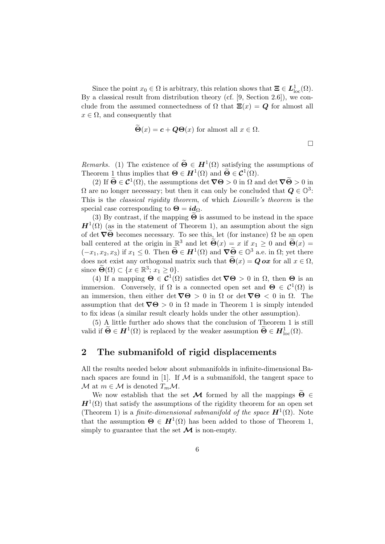Since the point  $x_0 \in \Omega$  is arbitrary, this relation shows that  $\Xi \in L^1_{loc}(\Omega)$ . By a classical result from distribution theory (cf. [9, Section 2.6]), we conclude from the assumed connectedness of  $\Omega$  that  $\Xi(x) = Q$  for almost all  $x \in \Omega$ , and consequently that

$$
\Theta(x) = c + Q\Theta(x)
$$
 for almost all  $x \in \Omega$ .

 $\Box$ 

*Remarks.* (1) The existence of  $\widetilde{\Theta} \in H^1(\Omega)$  satisfying the assumptions of Theorem 1 thus implies that  $\Theta \in H^1(\Omega)$  and  $\widetilde{\Theta} \in C^1(\Omega)$ .

(2) If  $\widetilde{\Theta} \in \mathcal{C}^1(\Omega)$ , the assumptions det  $\nabla \Theta > 0$  in  $\Omega$  and det  $\nabla \widetilde{\Theta} > 0$  in  $\Omega$  are no longer necessary; but then it can only be concluded that  $Q \in \mathbb{O}^3$ : This is the classical rigidity theorem, of which Liouville's theorem is the special case corresponding to  $\Theta = id_{\Omega}$ .

(3) By contrast, if the mapping  $\Theta$  is assumed to be instead in the space  $H^1(\Omega)$  (as in the statement of Theorem 1), an assumption about the sign of det  $\nabla\Theta$  becomes necessary. To see this, let (for instance)  $\Omega$  be an open ball centered at the origin in  $\mathbb{R}^3$  and let  $\widetilde{\Theta}(x) = x$  if  $x_1 \geq 0$  and  $\widetilde{\Theta}(x) =$  $(-x_1, x_2, x_3)$  if  $x_1 \leq 0$ . Then  $\widetilde{\Theta} \in H^1(\Omega)$  and  $\nabla \widetilde{\Theta} \in \mathbb{O}^3$  a.e. in  $\Omega$ ; yet there does not exist any orthogonal matrix such that  $\widetilde{\Theta}(x) = \mathbf{Q} \mathbf{O} x$  for all  $x \in \Omega$ , since  $\widetilde{\Theta}(\Omega) \subset \{x \in \mathbb{R}^3 : x_1 \geq 0\}.$ 

(4) If a mapping  $\Theta \in C^1(\Omega)$  satisfies det  $\nabla \Theta > 0$  in  $\Omega$ , then  $\Theta$  is an immersion. Conversely, if  $\Omega$  is a connected open set and  $\Theta \in C^1(\Omega)$  is an immersion, then either det  $\nabla \Theta > 0$  in  $\Omega$  or det  $\nabla \Theta < 0$  in  $\Omega$ . The assumption that det  $\nabla\Theta > 0$  in  $\Omega$  made in Theorem 1 is simply intended to fix ideas (a similar result clearly holds under the other assumption).

(5) A little further ado shows that the conclusion of Theorem 1 is still valid if  $\widetilde{\Theta} \in H^1(\Omega)$  is replaced by the weaker assumption  $\widetilde{\Theta} \in H^1_{loc}(\Omega)$ .

### 2 The submanifold of rigid displacements

All the results needed below about submanifolds in infinite-dimensional Banach spaces are found in [1]. If  $M$  is a submanifold, the tangent space to M at  $m \in \mathcal{M}$  is denoted  $T_m \mathcal{M}$ .

We now establish that the set M formed by all the mappings  $\widetilde{\Theta} \in$  $H^1(\Omega)$  that satisfy the assumptions of the rigidity theorem for an open set (Theorem 1) is a finite-dimensional submanifold of the space  $\mathbf{H}^1(\Omega)$ . Note that the assumption  $\Theta \in H^1(\Omega)$  has been added to those of Theorem 1, simply to guarantee that the set  $\mathcal M$  is non-empty.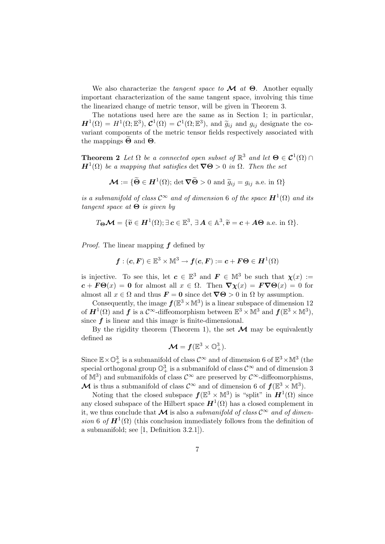We also characterize the *tangent space to*  $\mathcal M$  *at*  $\Theta$ . Another equally important characterization of the same tangent space, involving this time the linearized change of metric tensor, will be given in Theorem 3.

The notations used here are the same as in Section 1; in particular,  $\mathbf{H}^1(\Omega) = H^1(\Omega; \mathbb{E}^3), \mathbf{C}^1(\Omega) = C^1(\Omega; \mathbb{E}^3),$  and  $\widetilde{g}_{ij}$  and  $g_{ij}$  designate the co-<br>unright components of the metric tensor fields respectively associated with variant components of the metric tensor fields respectively associated with the mappings  $\Theta$  and  $\Theta$ .

**Theorem 2** Let  $\Omega$  be a connected open subset of  $\mathbb{R}^3$  and let  $\Theta \in \mathcal{C}^1(\Omega)$  $\mathbf{H}^{1}(\Omega)$  be a mapping that satisfies det  $\nabla\Theta > 0$  in  $\Omega$ . Then the set

$$
\mathcal{M} := \{ \widetilde{\Theta} \in H^1(\Omega) ; \det \nabla \widetilde{\Theta} > 0 \text{ and } \widetilde{g}_{ij} = g_{ij} \text{ a.e. in } \Omega \}
$$

is a submanifold of class  $\mathcal{C}^{\infty}$  and of dimension 6 of the space  $\mathbf{H}^{1}(\Omega)$  and its tangent space at  $\Theta$  is given by

$$
T_{\Theta}\mathcal{M} = \{\widetilde{\mathbf{v}} \in \mathbf{H}^1(\Omega); \exists \mathbf{c} \in \mathbb{E}^3, \exists \mathbf{A} \in \mathbb{A}^3, \widetilde{\mathbf{v}} = \mathbf{c} + \mathbf{A}\Theta \text{ a.e. in } \Omega\}.
$$

*Proof.* The linear mapping  $f$  defined by

$$
\boldsymbol{f}:(\boldsymbol{c},\boldsymbol{F})\in\mathbb{E}^3\times\mathbb{M}^3\to\boldsymbol{f}(\boldsymbol{c},\boldsymbol{F}):=\boldsymbol{c}+\boldsymbol{F}\boldsymbol{\Theta}\in\boldsymbol{H}^1(\Omega)
$$

is injective. To see this, let  $c \in \mathbb{E}^{3}$  and  $F \in \mathbb{M}^{3}$  be such that  $\chi(x) :=$  $c + F\Theta(x) = 0$  for almost all  $x \in \Omega$ . Then  $\nabla \chi(x) = F\nabla \Theta(x) = 0$  for almost all  $x \in \Omega$  and thus  $\mathbf{F} = \mathbf{0}$  since det  $\nabla \Theta > 0$  in  $\Omega$  by assumption.

Consequently, the image  $f(\mathbb{E}^3 \times \mathbb{M}^3)$  is a linear subspace of dimension 12 of  $H^1(\Omega)$  and  $f$  is a  $\mathcal{C}^{\infty}$ -diffeomorphism between  $\mathbb{E}^3 \times \mathbb{M}^3$  and  $f(\mathbb{E}^3 \times \mathbb{M}^3)$ , since  $f$  is linear and this image is finite-dimensional.

By the rigidity theorem (Theorem 1), the set  $\mathcal M$  may be equivalently defined as

$$
\mathcal{M}=f(\mathbb{E}^3\times \mathbb{O}^3_+).
$$

Since  $\mathbb{E}\times\mathbb{O}^3_+$  is a submanifold of class  $\mathcal{C}^\infty$  and of dimension 6 of  $\mathbb{E}^3\times\mathbb{M}^3$  (the special orthogonal group  $\mathbb{O}^3_+$  is a submanifold of class  $\mathcal{C}^\infty$  and of dimension 3 of  $\mathbb{M}^3$ ) and submanifolds of class  $\mathcal{C}^\infty$  are preserved by  $\mathcal{C}^\infty$ -diffeomorphisms, M is thus a submanifold of class  $\mathcal{C}^{\infty}$  and of dimension 6 of  $f(\mathbb{E}^{3} \times \mathbb{M}^{3})$ .

Noting that the closed subspace  $f(\mathbb{E}^3 \times \mathbb{M}^3)$  is "split" in  $H^1(\Omega)$  since any closed subspace of the Hilbert space  $H^1(\Omega)$  has a closed complement in it, we thus conclude that M is also a *submanifold of class*  $\mathcal{C}^{\infty}$  and of dimension 6 of  $\mathbf{H}^1(\Omega)$  (this conclusion immediately follows from the definition of a submanifold; see [1, Definition 3.2.1]).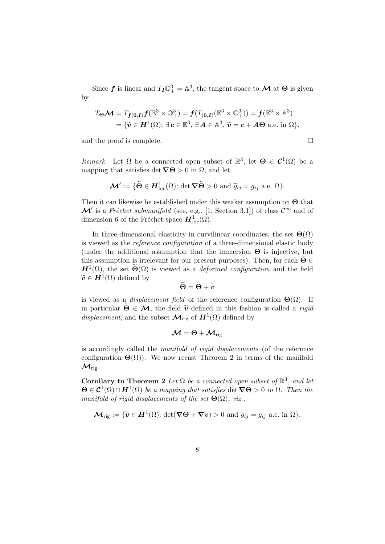Since  $f$  is linear and  $T_I \mathbb{O}^3_+ = \mathbb{A}^3$ , the tangent space to  $\mathcal M$  at  $\Theta$  is given by

$$
T_{\Theta}\mathcal{M} = T_{\boldsymbol{f}(0,\boldsymbol{I})}\boldsymbol{f}(\mathbb{E}^3 \times \mathbb{O}^3_+) = \boldsymbol{f}(T_{(0,\boldsymbol{I})}(\mathbb{E}^3 \times \mathbb{O}^3_+)) = \boldsymbol{f}(\mathbb{E}^3 \times \mathbb{A}^3)
$$
  
= { $\tilde{v} \in \boldsymbol{H}^1(\Omega)$ ;  $\exists \boldsymbol{c} \in \mathbb{E}^3$ ,  $\exists \boldsymbol{A} \in \mathbb{A}^3$ ,  $\tilde{v} = \boldsymbol{c} + \boldsymbol{A}\boldsymbol{\Theta}$  a.e. in  $\Omega$ },

and the proof is complete.  $\Box$ 

Remark. Let  $\Omega$  be a connected open subset of  $\mathbb{R}^3$ , let  $\Theta \in \mathcal{C}^1(\Omega)$  be a mapping that satisfies det  $\nabla\Theta > 0$  in  $\Omega$ , and let

$$
\mathcal{M}' := \{ \widetilde{\Theta} \in \mathbf{H}^1_{\mathrm{loc}}(\Omega) ; \, \det \nabla \widetilde{\Theta} > 0 \, \, \mathrm{and} \, \, \widetilde{g}_{ij} = g_{ij} \, \, \mathrm{a.e.} \, \, \Omega \}.
$$

Then it can likewise be established under this weaker assumption on Θ that  $\mathcal{M}'$  is a Fréchet submanifold (see, e.g., [1, Section 3.1]) of class  $\mathcal{C}^{\infty}$  and of dimension 6 of the Fréchet space  $H^1_{loc}(\Omega)$ .

In three-dimensional elasticity in curvilinear coordinates, the set  $\Theta(\Omega)$ is viewed as the reference configuration of a three-dimensional elastic body (under the additional assumption that the immersion  $\Theta$  is injective, but this assumption is irrelevant for our present purposes). Then, for each  $\Theta \in$  $H^1(\Omega)$ , the set  $\widetilde{\Theta}(\Omega)$  is viewed as a *deformed configuration* and the field  $\widetilde{\boldsymbol{v}} \in \boldsymbol{H}^1(\Omega)$  defined by

$$
\widetilde{\Theta} = \Theta + \widetilde{v}
$$

is viewed as a *displacement field* of the reference configuration  $\Theta(\Omega)$ . If in particular  $\widetilde{\Theta} \in \mathcal{M}$ , the field  $\widetilde{v}$  defined in this fashion is called a *rigid* displacement, and the subset  $\mathcal{M}_{\text{rig}}$  of  $H^1(\Omega)$  defined by

$$
\boldsymbol{\mathcal{M}}=\boldsymbol{\Theta}+\boldsymbol{\mathcal{M}}_{\mathrm{rig}}
$$

is accordingly called the manifold of rigid displacements (of the reference configuration  $\Theta(\Omega)$ ). We now recast Theorem 2 in terms of the manifold  $\mathcal{M}_{\mathrm{rig}}$ .

Corollary to Theorem 2 Let  $\Omega$  be a connected open subset of  $\mathbb{R}^3$ , and let  $\mathbf{\Theta} \in \mathcal{C}^1(\Omega) \cap \mathbf{H}^1(\Omega)$  be a mapping that satisfies det  $\nabla \Theta > 0$  in  $\Omega$ . Then the manifold of rigid displacements of the set  $\Theta(\Omega)$ , viz.,

$$
\mathcal{M}_{\mathrm{rig}} := \{ \widetilde{\mathbf{v}} \in \mathbf{H}^1(\Omega) ; \, \det(\nabla \Theta + \nabla \widetilde{\mathbf{v}}) > 0 \text{ and } \widetilde{g}_{ij} = g_{ij} \text{ a.e. in } \Omega \},
$$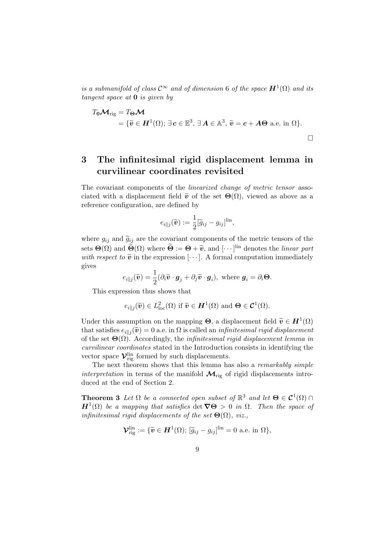is a submanifold of class  $\mathcal{C}^{\infty}$  and of dimension 6 of the space  $\boldsymbol{H}^{1}(\Omega)$  and its tangent space at 0 is given by

$$
T_0 \mathcal{M}_{\text{rig}} = T_{\Theta} \mathcal{M}
$$
  
= { $\tilde{v} \in H^1(\Omega)$ ;  $\exists c \in \mathbb{E}^3$ ,  $\exists A \in \mathbb{A}^3$ ,  $\tilde{v} = c + A\Theta$  a.e. in  $\Omega$  }.

## 3 The infinitesimal rigid displacement lemma in curvilinear coordinates revisited

The covariant components of the linearized change of metric tensor associated with a displacement field  $\tilde{\mathbf{v}}$  of the set  $\Theta(\Omega)$ , viewed as above as a reference configuration, are defined by

$$
e_{i\parallel j}(\widetilde{\boldsymbol{v}}) := \frac{1}{2} [\widetilde{g}_{ij} - g_{ij}]^{\text{lin}},
$$

where  $g_{ij}$  and  $\tilde{g}_{ij}$  are the covariant components of the metric tensors of the sets  $\Theta(\Omega)$  and  $\widetilde{\Theta}(\Omega)$  where  $\widetilde{\Theta} := \Theta + \widetilde{v}$ , and  $[\cdots]$ <sup>lin</sup> denotes the *linear part*<br>with recover to  $\widetilde{v}$  in the expression  $[\cdots]$ . A formal computation immediately with respect to  $\tilde{\mathbf{v}}$  in the expression [ $\cdots$ ]. A formal computation immediately gives

$$
e_{i\parallel j}(\widetilde{\boldsymbol{v}})=\frac{1}{2}(\partial_i \widetilde{\boldsymbol{v}}\cdot \boldsymbol{g}_j+\partial_j \widetilde{\boldsymbol{v}}\cdot \boldsymbol{g}_i), \text{ where } \boldsymbol{g}_i=\partial_i \boldsymbol{\Theta}.
$$

This expression thus shows that

$$
e_{i\parallel j}(\widetilde{\boldsymbol{v}})\in L^2_{\text{loc}}(\Omega) \text{ if } \widetilde{\boldsymbol{v}}\in \boldsymbol{H}^1(\Omega) \text{ and } \boldsymbol{\Theta}\in \mathcal{C}^1(\Omega).
$$

Under this assumption on the mapping  $\Theta$ , a displacement field  $\widetilde{\mathbf{v}} \in \mathbf{H}^1(\Omega)$ <br>that estimates  $e^{-\left(\widetilde{\mathbf{x}}\right)} = 0$  a a in  $\Omega$  is called an infinitesimal misid displacement that satisfies  $e_{i||j}(\tilde{v}) = 0$  a.e. in  $\Omega$  is called an *infinitesimal rigid displacement* of the set  $\Theta(\Omega)$ . Accordingly, the *infinitesimal rigid displacement lemma in* curvilinear coordinates stated in the Introduction consists in identifying the vector space  $\mathcal{V}_{\text{rig}}^{\text{lin}}$  formed by such displacements.

The next theorem shows that this lemma has also a *remarkably simple* interpretation in terms of the manifold  $\mathcal{M}_{\text{rig}}$  of rigid displacements introduced at the end of Section 2.

**Theorem 3** Let  $\Omega$  be a connected open subset of  $\mathbb{R}^3$  and let  $\Theta \in \mathcal{C}^1(\Omega)$  $H^1(\Omega)$  be a mapping that satisfies det  $\nabla\Theta > 0$  in  $\Omega$ . Then the space of infinitesimal rigid displacements of the set  $\Theta(\Omega)$ , viz.,

$$
\mathcal{V}_{\text{rig}}^{\text{lin}} := \{ \widetilde{\boldsymbol{v}} \in \boldsymbol{H}^1(\Omega); \, [\widetilde{g}_{ij} - g_{ij}]^{\text{lin}} = 0 \text{ a.e. in } \Omega \},
$$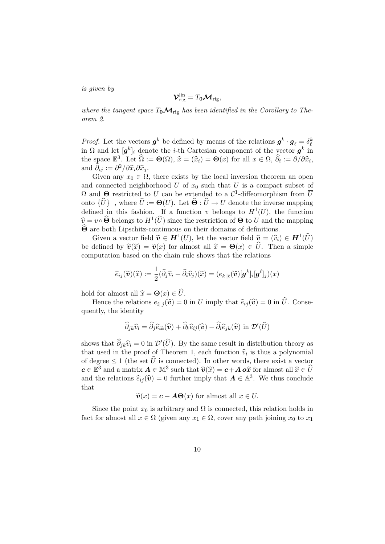is given by

$$
\boldsymbol{\mathcal{V}}_{\mathrm{rig}}^{\mathrm{lin}}=T_0\boldsymbol{\mathcal{M}}_{\mathrm{rig}},
$$

where the tangent space  $T_0 \mathcal{M}_{\text{rig}}$  has been identified in the Corollary to Theorem 2.

*Proof.* Let the vectors  $g^k$  be defined by means of the relations  $g^k \cdot g_\ell = \delta^k_\ell$ in  $\Omega$  and let  $[g^k]_i$  denote the *i*-th Cartesian component of the vector  $g^k$  in the space  $\mathbb{E}^3$ . Let  $\widehat{\Omega} := \Theta(\Omega)$ ,  $\widehat{x} = (\widehat{x}_i) = \Theta(x)$  for all  $x \in \Omega$ ,  $\widehat{\partial}_i := \partial/\partial \widehat{x}_i$ , and  $\widehat{\partial}_{ij} := \partial^2/\partial \widehat{x}_i \partial \widehat{x}_j$ .<br>Civen any  $x_i \in \Omega$ 

Given any  $x_0 \in \Omega$ , there exists by the local inversion theorem an open and connected neighborhood U of  $x_0$  such that  $\overline{U}$  is a compact subset of  $\Omega$  and  $\Theta$  restricted to U can be extended to a  $\mathcal{C}^1$ -diffeomorphism from  $\overline{U}$ onto  $\{\widehat{U}\}^-$ , where  $\widehat{U} := \mathbf{\Theta}(U)$ . Let  $\widehat{\mathbf{\Theta}} : \widehat{U} \to U$  denote the inverse mapping defined in this fashion. If a function v belongs to  $H^1(U)$ , the function  $\hat{v} = v \circ \hat{\Theta}$  belongs to  $H^1(\hat{U})$  since the restriction of  $\Theta$  to U and the mapping  $\hat{\Theta}$  are both Ungebite continuous on their domains of definitions  $\Theta$  are both Lipschitz-continuous on their domains of definitions.

Given a vector field  $\widetilde{\mathbf{v}} \in \mathbf{H}^1(U)$ , let the vector field  $\widehat{\mathbf{v}} = (\widehat{v}_i) \in \mathbf{H}^1(\widehat{U})$ be defined by  $\hat{v}(\hat{x}) = \tilde{v}(x)$  for almost all  $\hat{x} = \Theta(x) \in \hat{U}$ . Then a simple computation based on the chain rule shows that the relations

$$
\widehat{e}_{ij}(\widehat{\boldsymbol{v}})(\widehat{x}) := \frac{1}{2}(\widehat{\partial}_j \widehat{v}_i + \widehat{\partial}_i \widehat{v}_j)(\widehat{x}) = (e_{k\| \ell}(\widetilde{\boldsymbol{v}}) [\boldsymbol{g}^k]_i [\boldsymbol{g}^\ell]_j)(x)
$$

hold for almost all  $\hat{x} = \Theta(x) \in \hat{U}$ .

Hence the relations  $e_{i||j}(\tilde{\boldsymbol{v}}) = 0$  in U imply that  $\hat{e}_{ij}(\hat{\boldsymbol{v}}) = 0$  in U. Conservative quently, the identity

$$
\widehat{\partial}_{jk}\widehat{v}_i = \widehat{\partial}_j\widehat{e}_{ik}(\widehat{\boldsymbol{v}}) + \widehat{\partial}_k\widehat{e}_{ij}(\widehat{\boldsymbol{v}}) - \widehat{\partial}_i\widehat{e}_{jk}(\widehat{\boldsymbol{v}}) \text{ in } \mathcal{D}'(\widehat{U})
$$

shows that  $\widehat{\partial}_{jk}\widehat{v}_i = 0$  in  $\mathcal{D}'(\widehat{U})$ . By the same result in distribution theory as that used in the proof of Theorem 1, each function  $\hat{v}_i$  is thus a polynomial<br>of degree  $\leq 1$  (the set  $\hat{U}$  is connected). In other words, there exist a vector of degree  $\leq 1$  (the set  $\widehat{U}$  is connected). In other words, there exist a vector  $c \in \mathbb{E}^3$  and a matrix  $A \in \mathbb{M}^3$  such that  $\widehat{v}(\widehat{x}) = c + A \overline{\omega} \widehat{x}$  for almost all  $\widehat{x} \in \widehat{U}$ <br>and the relations  $\widehat{x}$  ( $\widehat{x}$ ) = 0 further imply that  $A \subset \mathbb{A}^3$ . We thus conclude and the relations  $\widehat{e}_{ij}(\widehat{\mathbf{v}}) = 0$  further imply that  $\mathbf{A} \in \mathbb{A}^3$ . We thus conclude that

$$
\widetilde{\boldsymbol{v}}(x) = \boldsymbol{c} + \boldsymbol{A}\boldsymbol{\Theta}(x) \text{ for almost all } x \in U.
$$

Since the point  $x_0$  is arbitrary and  $\Omega$  is connected, this relation holds in fact for almost all  $x \in \Omega$  (given any  $x_1 \in \Omega$ , cover any path joining  $x_0$  to  $x_1$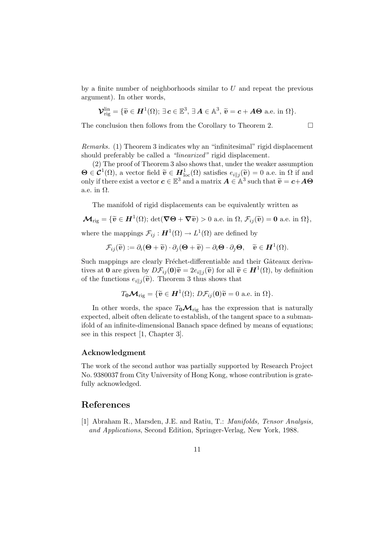by a finite number of neighborhoods similar to  $U$  and repeat the previous argument). In other words,

$$
\mathcal{V}_{\mathrm{rig}}^{\mathrm{lin}} = \{ \widetilde{\boldsymbol{v}} \in \boldsymbol{H}^1(\Omega); \, \exists \, \boldsymbol{c} \in \mathbb{E}^3, \, \exists \, \boldsymbol{A} \in \mathbb{A}^3, \, \widetilde{\boldsymbol{v}} = \boldsymbol{c} + \boldsymbol{A}\boldsymbol{\Theta} \text{ a.e. in } \Omega \}.
$$

The conclusion then follows from the Corollary to Theorem 2.  $\Box$ 

Remarks. (1) Theorem 3 indicates why an "infinitesimal" rigid displacement should preferably be called a "*linearized*" rigid displacement.

(2) The proof of Theorem 3 also shows that, under the weaker assumption  $\Theta \in \mathcal{C}^1(\Omega)$ , a vector field  $\widetilde{\mathbf{v}} \in H^1_{\text{loc}}(\Omega)$  satisfies  $e_{i||j}(\widetilde{\mathbf{v}}) = 0$  a.e. in  $\Omega$  if and only if there exist a vector  $c \in \mathbb{E}^3$  and a matrix  $A \in \mathbb{A}^3$  such that  $\widetilde{v} = c + A\Theta$ a.e. in  $\Omega$ .

The manifold of rigid displacements can be equivalently written as

$$
\mathcal{M}_{\text{rig}} = \{ \widetilde{\mathbf{v}} \in \mathbf{H}^1(\Omega) ; \det(\nabla \Theta + \nabla \widetilde{\mathbf{v}}) > 0 \text{ a.e. in } \Omega, \mathcal{F}_{ij}(\widetilde{\mathbf{v}}) = \mathbf{0} \text{ a.e. in } \Omega \},
$$
  
where the mappings  $\mathcal{F}_{ij} : \mathbf{H}^1(\Omega) \to L^1(\Omega)$  are defined by

$$
\mathcal{F}_{ij}(\widetilde{\boldsymbol{v}}):=\partial_i(\boldsymbol{\Theta}+\widetilde{\boldsymbol{v}})\cdot\partial_j(\boldsymbol{\Theta}+\widetilde{\boldsymbol{v}})-\partial_i\boldsymbol{\Theta}\cdot\partial_j\boldsymbol{\Theta},\quad \widetilde{\boldsymbol{v}}\in \boldsymbol{H}^1(\Omega).
$$

Such mappings are clearly Fréchet-differentiable and their Gâteaux derivatives at **0** are given by  $D\mathcal{F}_{ij}(\mathbf{0})\tilde{\mathbf{v}} = 2e_{i||j}(\tilde{\mathbf{v}})$  for all  $\tilde{\mathbf{v}} \in \mathbf{H}^1(\Omega)$ , by definition of the functions  $e_{i\parallel j}(\tilde{\boldsymbol{v}})$ . Theorem 3 thus shows that

$$
T_0 \mathcal{M}_{\text{rig}} = {\tilde{v} \in \mathbf{H}^1(\Omega); D\mathcal{F}_{ij}(0)\tilde{v} = 0 \text{ a.e. in } \Omega}.
$$

In other words, the space  $T_0 \mathcal{M}_{\text{rig}}$  has the expression that is naturally expected, albeit often delicate to establish, of the tangent space to a submanifold of an infinite-dimensional Banach space defined by means of equations; see in this respect [1, Chapter 3].

#### Acknowledgment

The work of the second author was partially supported by Research Project No. 9380037 from City University of Hong Kong, whose contribution is gratefully acknowledged.

#### References

[1] Abraham R., Marsden, J.E. and Ratiu, T.: Manifolds, Tensor Analysis, and Applications, Second Edition, Springer-Verlag, New York, 1988.